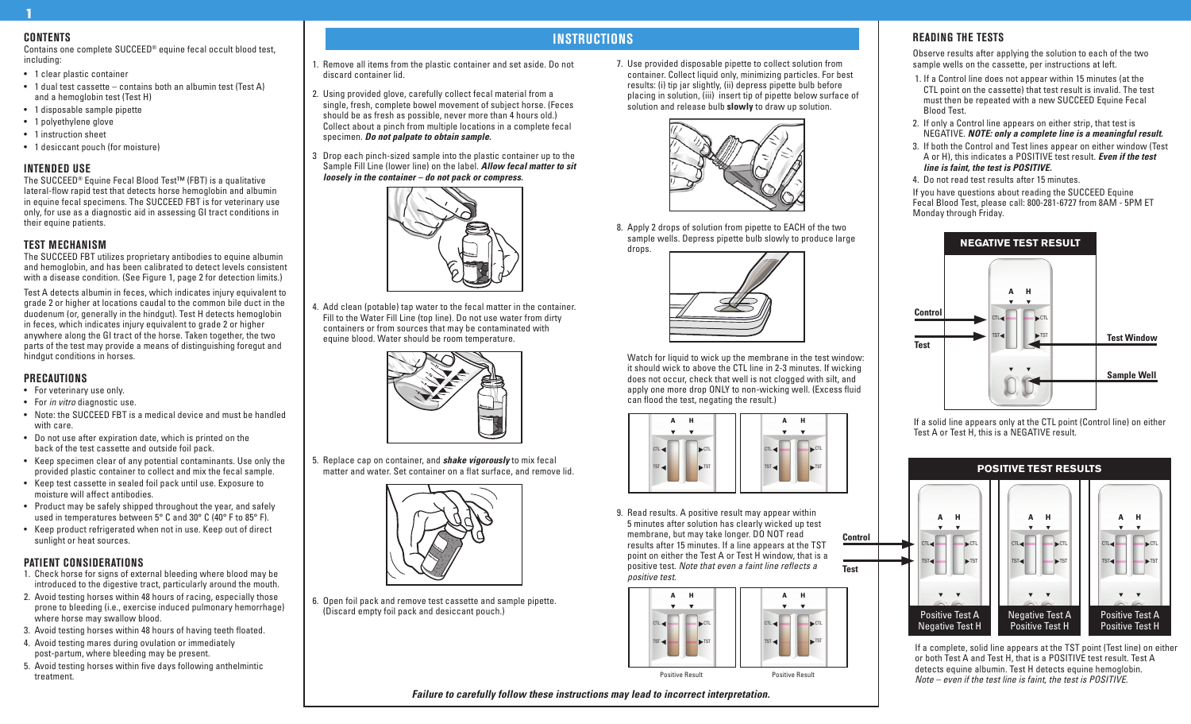# **Contents**

1

Contains one complete SUCCEED® equine fecal occult blood test, including:

- 1 clear plastic container
- 1 dual test cassette contains both an albumin test (Test A) and a hemoglobin test (Test H)
- 1 disposable sample pipette
- 1 polyethylene glove
- 1 instruction sheet
- 1 desiccant pouch (for moisture)

#### **Intended Use**

The SUCCEED® Equine Fecal Blood Test™ (FBT) is a qualitative lateral-flow rapid test that detects horse hemoglobin and albumin in equine fecal specimens. The SUCCEED FBT is for veterinary use only, for use as a diagnostic aid in assessing GI tract conditions in their equine patients.

### **Test Mechanism**

The SUCCEED FBT utilizes proprietary antibodies to equine albumin and hemoglobin, and has been calibrated to detect levels consistent with a disease condition. (See Figure 1, page 2 for detection limits.)

Test A detects albumin in feces, which indicates injury equivalent to grade 2 or higher at locations caudal to the common bile duct in the duodenum (or, generally in the hindgut). Test H detects hemoglobin in feces, which indicates injury equivalent to grade 2 or higher anywhere along the GI tract of the horse. Taken together, the two parts of the test may provide a means of distinguishing foregut and hindgut conditions in horses.

#### **Precautions**

- For veterinary use only.
- For *in vitro* diagnostic use.
- Note: the SUCCEED FBT is a medical device and must be handled with care.
- Do not use after expiration date, which is printed on the back of the test cassette and outside foil pack.
- Keep specimen clear of any potential contaminants. Use only the provided plastic container to collect and mix the fecal sample.
- Keep test cassette in sealed foil pack until use. Exposure to moisture will affect antibodies.
- Product may be safely shipped throughout the year, and safely used in temperatures between 5° C and 30° C (40° F to 85° F).
- Keep product refrigerated when not in use. Keep out of direct sunlight or heat sources.

#### **Patient Considerations**

- 1. Check horse for signs of external bleeding where blood may be introduced to the digestive tract, particularly around the mouth.
- 2. Avoid testing horses within 48 hours of racing, especially those prone to bleeding (i.e., exercise induced pulmonary hemorrhage) where horse may swallow blood.
- 3. Avoid testing horses within 48 hours of having teeth floated.
- 4. Avoid testing mares during ovulation or immediately post-partum, where bleeding may be present.
- 5. Avoid testing horses within five days following anthelmintic treatment.

# **Instructions**

*Failure to carefully follow these instructions may lead to incorrect interpretation.*

1. Remove all items from the plastic container and set aside. Do not discard container lid.

- 2. Using provided glove, carefully collect fecal material from a single, fresh, complete bowel movement of subject horse. (Feces should be as fresh as possible, never more than 4 hours old.) Collect about a pinch from multiple locations in a complete fecal specimen. *Do not palpate to obtain sample.*
- 3 Drop each pinch-sized sample into the plastic container up to the Sample Fill Line (lower line) on the label. *Allow fecal matter to sit loosely in the container – do not pack or compress.*



4. Add clean (potable) tap water to the fecal matter in the container. Fill to the Water Fill Line (top line). Do not use water from dirty containers or from sources that may be contaminated with equine blood. Water should be room temperature.



5. Replace cap on container, and *shake vigorously* to mix fecal matter and water. Set container on a flat surface, and remove lid.



6. Open foil pack and remove test cassette and sample pipette. (Discard empty foil pack and desiccant pouch.)

7. Use provided disposable pipette to collect solution from container. Collect liquid only, minimizing particles. For best results: (i) tip jar slightly, (ii) depress pipette bulb before placing in solution, (iii) insert tip of pipette below surface of solution and release bulb **slowly** to draw up solution.



8. Apply 2 drops of solution from pipette to EACH of the two sample wells. Depress pipette bulb slowly to produce large drops.



Watch for liquid to wick up the membrane in the test window: it should wick to above the CTL line in 2-3 minutes. If wicking does not occur, check that well is not clogged with silt, and apply one more drop ONLY to non-wicking well. (Excess fluid can flood the test, negating the result.)



9. Read results. A positive result may appear within 5 minutes after solution has clearly wicked up test membrane, but may take longer. DO NOT read results after 15 minutes. If a line appears at the TST point on either the Test A or Test H window, that is a positive test. *Note that even a faint line reflects a positive test.* **Control Test**



 $\Gamma$  $\overline{\phantom{a}}$   $\overline{\phantom{a}}$  CT  $\blacktriangleright$ TST  $\blacktriangleright$ TS  $\mathbf{v}$   $\mathbf{v}$ Positive Test A Negative Test A

> If a complete, solid line appears at the TST point (Test line) on either or both Test A and Test H, that is a POSITIVE test result. Test A detects equine albumin. Test H detects equine hemoglobin. *Note – even if the test line is faint, the test is POSITIVE.*

# **Reading the Tests**

Observe results after applying the solution to each of the two sample wells on the cassette, per instructions at left.

- 1. If a Control line does not appear within 15 minutes (at the CTL point on the cassette) that test result is invalid. The test must then be repeated with a new SUCCEED Equine Fecal Blood Test.
- 2. If only a Control line appears on either strip, that test is NEGATIVE. *NOTE: only a complete line is a meaningful result.*
- 3. If both the Control and Test lines appear on either window (Test A or H), this indicates a POSITIVE test result. *Even if the test line is faint, the test is POSITIVE.*
- 4. Do not read test results after 15 minutes.

If you have questions about reading the SUCCEED Equine Fecal Blood Test, please call: 800-281-6727 from 8AM - 5PM ET Monday through Friday.



If a solid line appears only at the CTL point (Control line) on either Test A or Test H, this is a NEGATIVE result.

**POSITIVE TEST RESULTS** A H A H A H CTL CTL  $TST \blacktriangleleft$   $\blacksquare$   $\blacktriangleright$  TST  $\mathbf{v}$   $\mathbf{v}$ Positive Test A Negative Test H Positive Test H Positive Test H